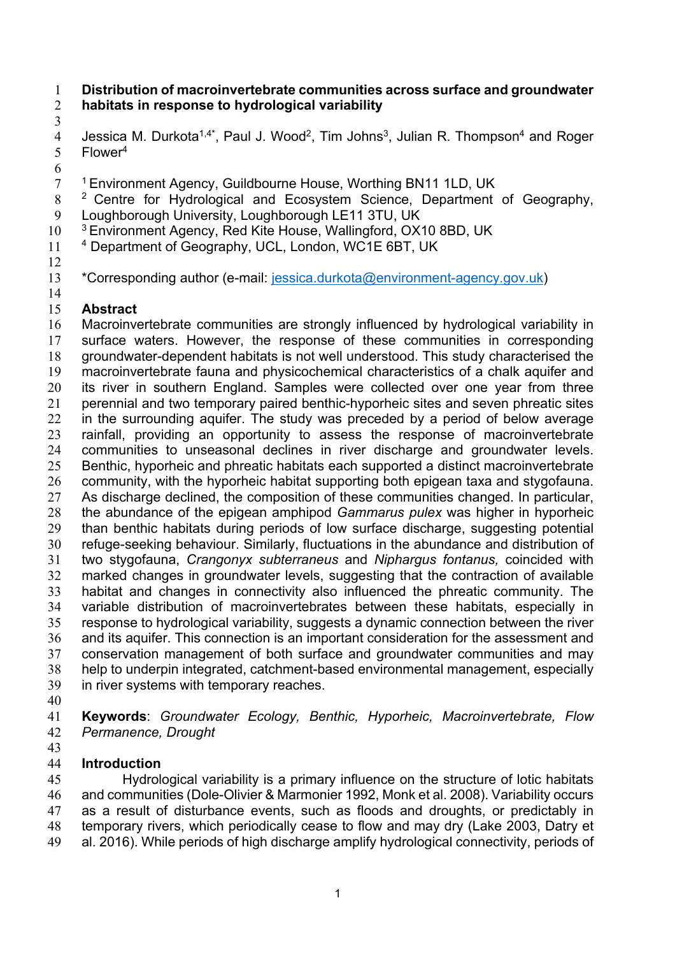#### **Distribution of macroinvertebrate communities across surface and groundwater habitats in response to hydrological variability**

4 Jessica M. Durkota<sup>1,4\*</sup>, Paul J. Wood<sup>2</sup>, Tim Johns<sup>3</sup>, Julian R. Thompson<sup>4</sup> and Roger 5 Flower<sup>4</sup>

- <sup>1</sup> Environment Agency, Guildbourne House, Worthing BN11 1LD, UK
- 8<sup>2</sup> Centre for Hydrological and Ecosystem Science, Department of Geography, Loughborough University, Loughborough LE11 3TU, UK
- 10 <sup>3</sup> Environment Agency, Red Kite House, Wallingford, OX10 8BD, UK
- 11 4 Department of Geography, UCL, London, WC1E 6BT, UK
- 

 \*Corresponding author (e-mail: jessica.durkota@environment-agency.gov.uk) 

# **Abstract**

 Macroinvertebrate communities are strongly influenced by hydrological variability in surface waters. However, the response of these communities in corresponding groundwater-dependent habitats is not well understood. This study characterised the macroinvertebrate fauna and physicochemical characteristics of a chalk aquifer and 20 its river in southern England. Samples were collected over one year from three perennial and two temporary paired benthic-hyporheic sites and seven phreatic sites in the surrounding aquifer. The study was preceded by a period of below average rainfall, providing an opportunity to assess the response of macroinvertebrate communities to unseasonal declines in river discharge and groundwater levels. Benthic, hyporheic and phreatic habitats each supported a distinct macroinvertebrate community, with the hyporheic habitat supporting both epigean taxa and stygofauna. As discharge declined, the composition of these communities changed. In particular, the abundance of the epigean amphipod *Gammarus pulex* was higher in hyporheic than benthic habitats during periods of low surface discharge, suggesting potential refuge-seeking behaviour. Similarly, fluctuations in the abundance and distribution of two stygofauna, *Crangonyx subterraneus* and *Niphargus fontanus,* coincided with marked changes in groundwater levels, suggesting that the contraction of available habitat and changes in connectivity also influenced the phreatic community. The variable distribution of macroinvertebrates between these habitats, especially in response to hydrological variability, suggests a dynamic connection between the river and its aquifer. This connection is an important consideration for the assessment and conservation management of both surface and groundwater communities and may help to underpin integrated, catchment-based environmental management, especially in river systems with temporary reaches.

 **Keywords**: *Groundwater Ecology, Benthic, Hyporheic, Macroinvertebrate, Flow Permanence, Drought*

## **Introduction**

 Hydrological variability is a primary influence on the structure of lotic habitats and communities (Dole-Olivier & Marmonier 1992, Monk et al. 2008). Variability occurs as a result of disturbance events, such as floods and droughts, or predictably in temporary rivers, which periodically cease to flow and may dry (Lake 2003, Datry et al. 2016). While periods of high discharge amplify hydrological connectivity, periods of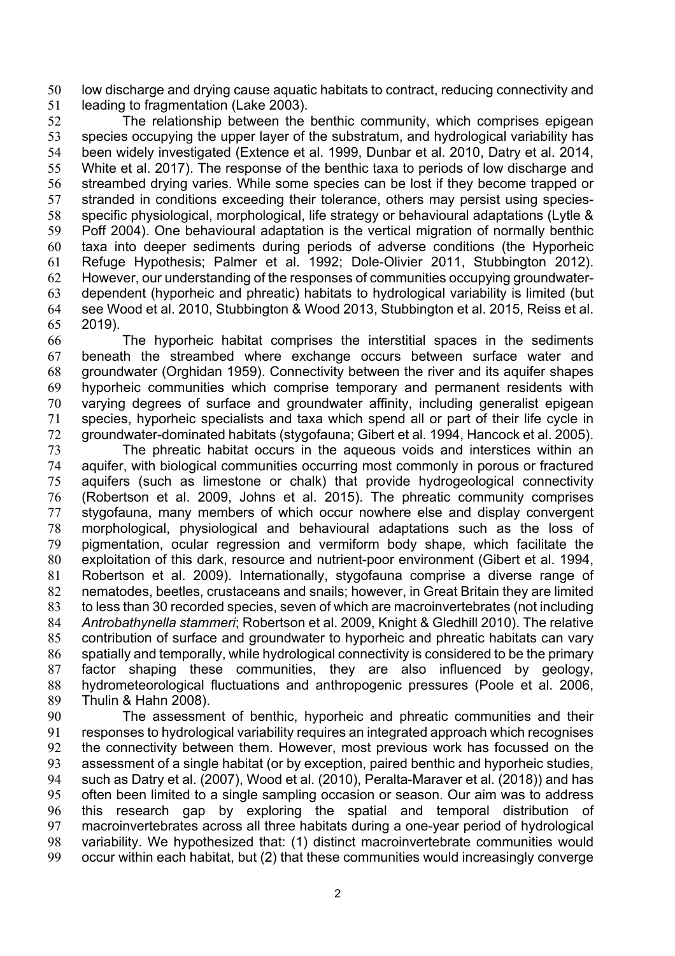low discharge and drying cause aquatic habitats to contract, reducing connectivity and leading to fragmentation (Lake 2003).

 The relationship between the benthic community, which comprises epigean species occupying the upper layer of the substratum, and hydrological variability has been widely investigated (Extence et al. 1999, Dunbar et al. 2010, Datry et al. 2014, White et al. 2017). The response of the benthic taxa to periods of low discharge and streambed drying varies. While some species can be lost if they become trapped or stranded in conditions exceeding their tolerance, others may persist using species- specific physiological, morphological, life strategy or behavioural adaptations (Lytle & Poff 2004). One behavioural adaptation is the vertical migration of normally benthic taxa into deeper sediments during periods of adverse conditions (the Hyporheic Refuge Hypothesis; Palmer et al. 1992; Dole-Olivier 2011, Stubbington 2012). However, our understanding of the responses of communities occupying groundwater- dependent (hyporheic and phreatic) habitats to hydrological variability is limited (but see Wood et al. 2010, Stubbington & Wood 2013, Stubbington et al. 2015, Reiss et al. 2019).

 The hyporheic habitat comprises the interstitial spaces in the sediments beneath the streambed where exchange occurs between surface water and groundwater (Orghidan 1959). Connectivity between the river and its aquifer shapes hyporheic communities which comprise temporary and permanent residents with varying degrees of surface and groundwater affinity, including generalist epigean species, hyporheic specialists and taxa which spend all or part of their life cycle in groundwater-dominated habitats (stygofauna; Gibert et al. 1994, Hancock et al. 2005).

 The phreatic habitat occurs in the aqueous voids and interstices within an aquifer, with biological communities occurring most commonly in porous or fractured aquifers (such as limestone or chalk) that provide hydrogeological connectivity (Robertson et al. 2009, Johns et al. 2015). The phreatic community comprises stygofauna, many members of which occur nowhere else and display convergent morphological, physiological and behavioural adaptations such as the loss of pigmentation, ocular regression and vermiform body shape, which facilitate the exploitation of this dark, resource and nutrient-poor environment (Gibert et al. 1994, Robertson et al. 2009). Internationally, stygofauna comprise a diverse range of nematodes, beetles, crustaceans and snails; however, in Great Britain they are limited to less than 30 recorded species, seven of which are macroinvertebrates (not including *Antrobathynella stammeri*; Robertson et al. 2009, Knight & Gledhill 2010). The relative contribution of surface and groundwater to hyporheic and phreatic habitats can vary spatially and temporally, while hydrological connectivity is considered to be the primary factor shaping these communities, they are also influenced by geology, hydrometeorological fluctuations and anthropogenic pressures (Poole et al. 2006, Thulin & Hahn 2008).

 The assessment of benthic, hyporheic and phreatic communities and their responses to hydrological variability requires an integrated approach which recognises the connectivity between them. However, most previous work has focussed on the assessment of a single habitat (or by exception, paired benthic and hyporheic studies, such as Datry et al. (2007), Wood et al. (2010), Peralta-Maraver et al. (2018)) and has often been limited to a single sampling occasion or season. Our aim was to address this research gap by exploring the spatial and temporal distribution of macroinvertebrates across all three habitats during a one-year period of hydrological variability. We hypothesized that: (1) distinct macroinvertebrate communities would occur within each habitat, but (2) that these communities would increasingly converge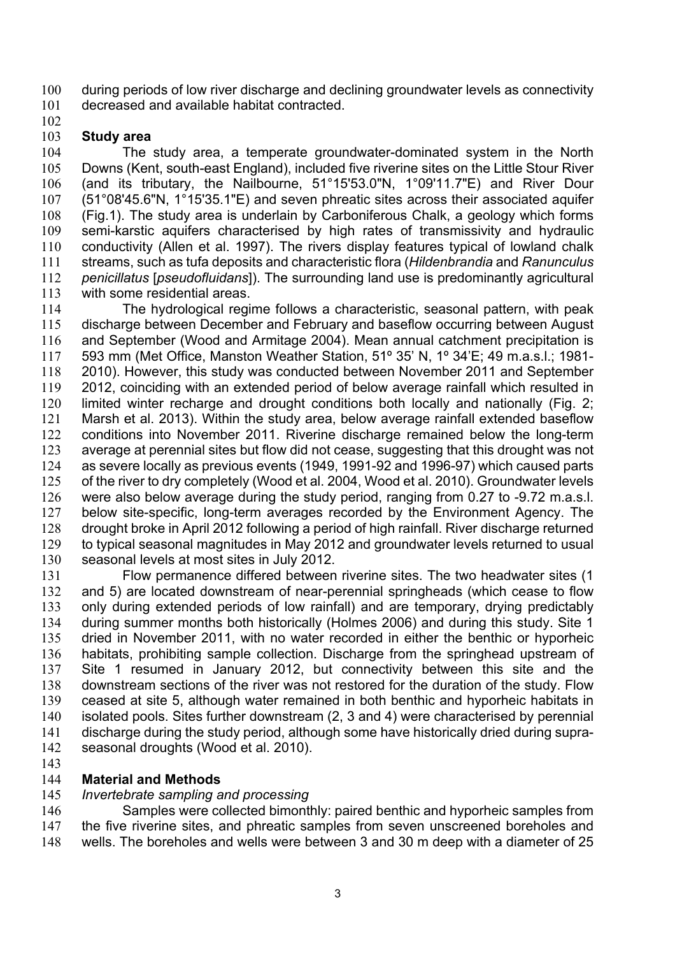during periods of low river discharge and declining groundwater levels as connectivity decreased and available habitat contracted.

## **Study area**

 The study area, a temperate groundwater-dominated system in the North Downs (Kent, south-east England), included five riverine sites on the Little Stour River (and its tributary, the Nailbourne, 51°15'53.0"N, 1°09'11.7"E) and River Dour (51°08'45.6"N, 1°15'35.1"E) and seven phreatic sites across their associated aquifer (Fig.1). The study area is underlain by Carboniferous Chalk, a geology which forms semi-karstic aquifers characterised by high rates of transmissivity and hydraulic conductivity (Allen et al. 1997). The rivers display features typical of lowland chalk streams, such as tufa deposits and characteristic flora (*Hildenbrandia* and *Ranunculus penicillatus* [*pseudofluidans*]). The surrounding land use is predominantly agricultural with some residential areas.

 The hydrological regime follows a characteristic, seasonal pattern, with peak discharge between December and February and baseflow occurring between August and September (Wood and Armitage 2004). Mean annual catchment precipitation is 593 mm (Met Office, Manston Weather Station, 51º 35' N, 1º 34'E; 49 m.a.s.l.; 1981- 2010). However, this study was conducted between November 2011 and September 2012, coinciding with an extended period of below average rainfall which resulted in limited winter recharge and drought conditions both locally and nationally (Fig. 2; Marsh et al. 2013). Within the study area, below average rainfall extended baseflow conditions into November 2011. Riverine discharge remained below the long-term average at perennial sites but flow did not cease, suggesting that this drought was not as severe locally as previous events (1949, 1991-92 and 1996-97) which caused parts of the river to dry completely (Wood et al. 2004, Wood et al. 2010). Groundwater levels were also below average during the study period, ranging from 0.27 to -9.72 m.a.s.l. below site-specific, long-term averages recorded by the Environment Agency. The drought broke in April 2012 following a period of high rainfall. River discharge returned to typical seasonal magnitudes in May 2012 and groundwater levels returned to usual seasonal levels at most sites in July 2012.

 Flow permanence differed between riverine sites. The two headwater sites (1 and 5) are located downstream of near-perennial springheads (which cease to flow only during extended periods of low rainfall) and are temporary, drying predictably during summer months both historically (Holmes 2006) and during this study. Site 1 dried in November 2011, with no water recorded in either the benthic or hyporheic habitats, prohibiting sample collection. Discharge from the springhead upstream of Site 1 resumed in January 2012, but connectivity between this site and the downstream sections of the river was not restored for the duration of the study. Flow ceased at site 5, although water remained in both benthic and hyporheic habitats in isolated pools. Sites further downstream (2, 3 and 4) were characterised by perennial discharge during the study period, although some have historically dried during supra-seasonal droughts (Wood et al. 2010).

### **Material and Methods**

### *Invertebrate sampling and processing*

146 Samples were collected bimonthly: paired benthic and hyporheic samples from 147 the five riverine sites, and phreatic samples from seven unscreened boreholes and wells. The boreholes and wells were between 3 and 30 m deep with a diameter of 25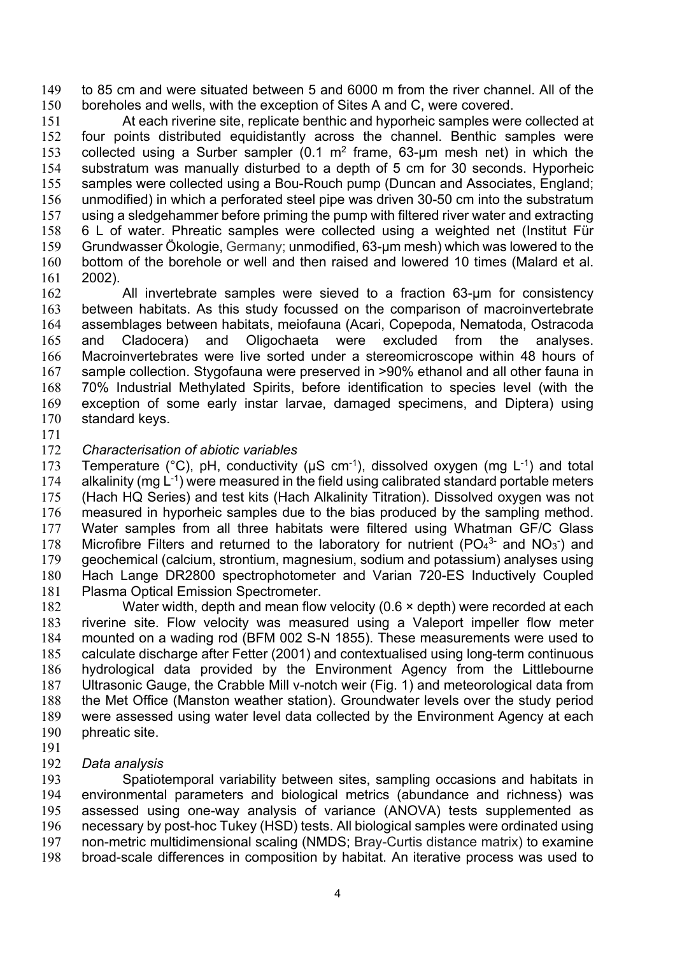to 85 cm and were situated between 5 and 6000 m from the river channel. All of the boreholes and wells, with the exception of Sites A and C, were covered.

 At each riverine site, replicate benthic and hyporheic samples were collected at four points distributed equidistantly across the channel. Benthic samples were 153 collected using a Surber sampler (0.1  $m^2$  frame, 63-um mesh net) in which the substratum was manually disturbed to a depth of 5 cm for 30 seconds. Hyporheic samples were collected using a Bou-Rouch pump (Duncan and Associates, England; unmodified) in which a perforated steel pipe was driven 30-50 cm into the substratum using a sledgehammer before priming the pump with filtered river water and extracting 6 L of water. Phreatic samples were collected using a weighted net (Institut Für Grundwasser Ökologie, Germany; unmodified, 63-µm mesh) which was lowered to the bottom of the borehole or well and then raised and lowered 10 times (Malard et al. 2002).

162 All invertebrate samples were sieved to a fraction 63-um for consistency between habitats. As this study focussed on the comparison of macroinvertebrate assemblages between habitats, meiofauna (Acari, Copepoda, Nematoda, Ostracoda and Cladocera) and Oligochaeta were excluded from the analyses. Macroinvertebrates were live sorted under a stereomicroscope within 48 hours of sample collection. Stygofauna were preserved in >90% ethanol and all other fauna in 70% Industrial Methylated Spirits, before identification to species level (with the exception of some early instar larvae, damaged specimens, and Diptera) using standard keys.

#### *Characterisation of abiotic variables*

173 Temperature (°C), pH, conductivity ( $\mu$ S cm<sup>-1</sup>), dissolved oxygen (mg L<sup>-1</sup>) and total 174 alkalinity (mg  $L^{-1}$ ) were measured in the field using calibrated standard portable meters (Hach HQ Series) and test kits (Hach Alkalinity Titration). Dissolved oxygen was not measured in hyporheic samples due to the bias produced by the sampling method. Water samples from all three habitats were filtered using Whatman GF/C Glass 178 Microfibre Filters and returned to the laboratory for nutrient ( $PO_4^{3-}$  and  $NO_3^-$ ) and geochemical (calcium, strontium, magnesium, sodium and potassium) analyses using Hach Lange DR2800 spectrophotometer and Varian 720-ES Inductively Coupled Plasma Optical Emission Spectrometer.

 Water width, depth and mean flow velocity (0.6 × depth) were recorded at each riverine site. Flow velocity was measured using a Valeport impeller flow meter mounted on a wading rod (BFM 002 S-N 1855). These measurements were used to calculate discharge after Fetter (2001) and contextualised using long-term continuous hydrological data provided by the Environment Agency from the Littlebourne Ultrasonic Gauge, the Crabble Mill v-notch weir (Fig. 1) and meteorological data from the Met Office (Manston weather station). Groundwater levels over the study period were assessed using water level data collected by the Environment Agency at each phreatic site.

#### *Data analysis*

 Spatiotemporal variability between sites, sampling occasions and habitats in environmental parameters and biological metrics (abundance and richness) was assessed using one-way analysis of variance (ANOVA) tests supplemented as necessary by post-hoc Tukey (HSD) tests. All biological samples were ordinated using non-metric multidimensional scaling (NMDS; Bray-Curtis distance matrix) to examine broad-scale differences in composition by habitat. An iterative process was used to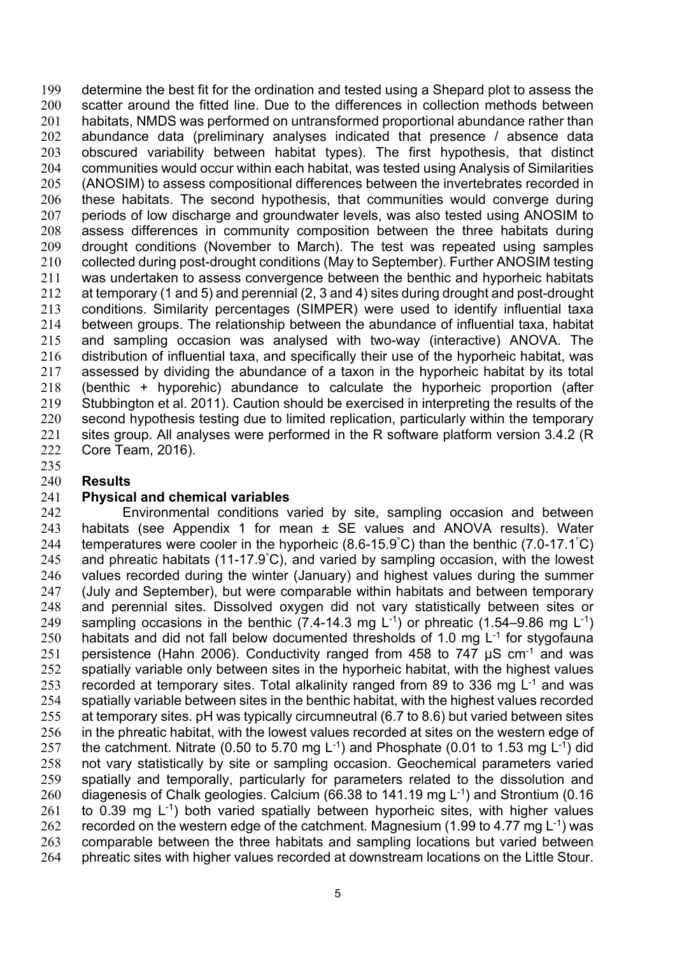determine the best fit for the ordination and tested using a Shepard plot to assess the scatter around the fitted line. Due to the differences in collection methods between habitats, NMDS was performed on untransformed proportional abundance rather than abundance data (preliminary analyses indicated that presence / absence data obscured variability between habitat types). The first hypothesis, that distinct communities would occur within each habitat, was tested using Analysis of Similarities (ANOSIM) to assess compositional differences between the invertebrates recorded in these habitats. The second hypothesis, that communities would converge during periods of low discharge and groundwater levels, was also tested using ANOSIM to assess differences in community composition between the three habitats during drought conditions (November to March). The test was repeated using samples collected during post-drought conditions (May to September). Further ANOSIM testing was undertaken to assess convergence between the benthic and hyporheic habitats at temporary (1 and 5) and perennial (2, 3 and 4) sites during drought and post-drought conditions. Similarity percentages (SIMPER) were used to identify influential taxa between groups. The relationship between the abundance of influential taxa, habitat and sampling occasion was analysed with two-way (interactive) ANOVA. The distribution of influential taxa, and specifically their use of the hyporheic habitat, was assessed by dividing the abundance of a taxon in the hyporheic habitat by its total (benthic + hyporehic) abundance to calculate the hyporheic proportion (after Stubbington et al. 2011). Caution should be exercised in interpreting the results of the second hypothesis testing due to limited replication, particularly within the temporary 221 sites group. All analyses were performed in the R software platform version 3.4.2 (R Core Team, 2016).

#### **Results**

#### **Physical and chemical variables**

 Environmental conditions varied by site, sampling occasion and between 243 habitats (see Appendix 1 for mean  $\pm$  SE values and ANOVA results). Water 244 temperatures were cooler in the hyporheic (8.6-15.9°C) than the benthic (7.0-17.1°C) 245 and phreatic habitats (11-17.9°C), and varied by sampling occasion, with the lowest values recorded during the winter (January) and highest values during the summer (July and September), but were comparable within habitats and between temporary and perennial sites. Dissolved oxygen did not vary statistically between sites or 249 sampling occasions in the benthic  $(7.4{\text -}14.3 \text{ mg L}^{-1})$  or phreatic  $(1.54{\text -}9.86 \text{ mg L}^{-1})$ 250 habitats and did not fall below documented thresholds of 1.0 mg  $L^{-1}$  for stygofauna 251 persistence (Hahn 2006). Conductivity ranged from 458 to 747  $\mu$ S cm<sup>-1</sup> and was 252 spatially variable only between sites in the hyporheic habitat, with the highest values 253 recorded at temporary sites. Total alkalinity ranged from 89 to 336 mg  $L^{-1}$  and was 254 spatially variable between sites in the benthic habitat, with the highest values recorded at temporary sites. pH was typically circumneutral (6.7 to 8.6) but varied between sites in the phreatic habitat, with the lowest values recorded at sites on the western edge of 257 the catchment. Nitrate (0.50 to 5.70 mg  $L^{-1}$ ) and Phosphate (0.01 to 1.53 mg  $L^{-1}$ ) did not vary statistically by site or sampling occasion. Geochemical parameters varied spatially and temporally, particularly for parameters related to the dissolution and 260 diagenesis of Chalk geologies. Calcium (66.38 to 141.19 mg  $L^{-1}$ ) and Strontium (0.16 261 to 0.39 mg  $L^{-1}$ ) both varied spatially between hyporheic sites, with higher values 262 recorded on the western edge of the catchment. Magnesium (1.99 to 4.77 mg  $L^{-1}$ ) was comparable between the three habitats and sampling locations but varied between phreatic sites with higher values recorded at downstream locations on the Little Stour.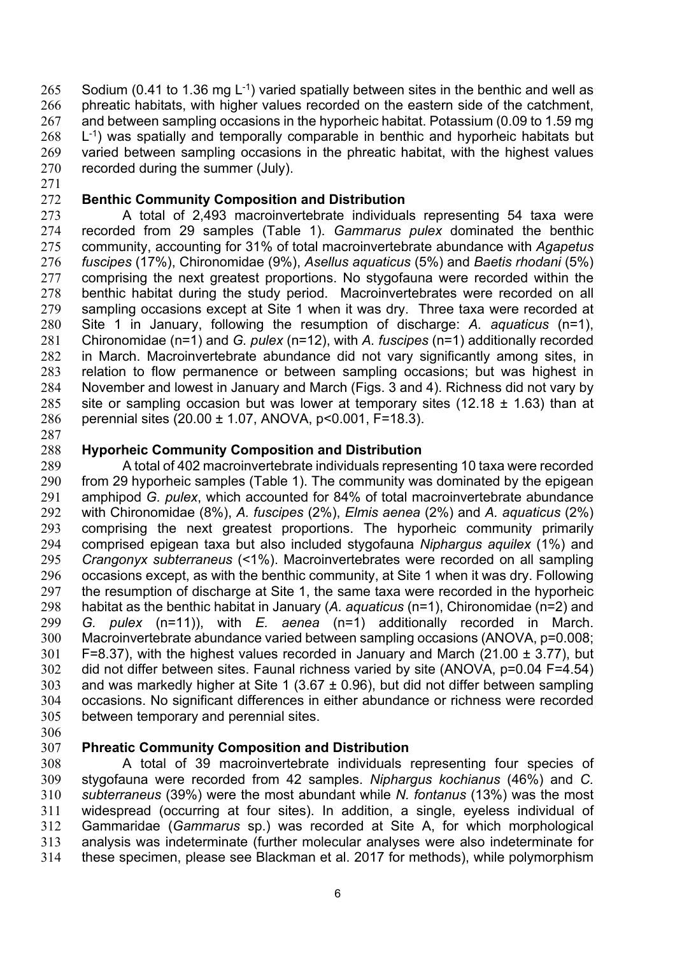265 Sodium (0.41 to 1.36 mg  $L^{-1}$ ) varied spatially between sites in the benthic and well as phreatic habitats, with higher values recorded on the eastern side of the catchment, and between sampling occasions in the hyporheic habitat. Potassium (0.09 to 1.59 mg  $L^{-1}$ ) was spatially and temporally comparable in benthic and hyporheic habitats but varied between sampling occasions in the phreatic habitat, with the highest values recorded during the summer (July).

## **Benthic Community Composition and Distribution**

 A total of 2,493 macroinvertebrate individuals representing 54 taxa were recorded from 29 samples (Table 1). *Gammarus pulex* dominated the benthic community, accounting for 31% of total macroinvertebrate abundance with *Agapetus fuscipes* (17%), Chironomidae (9%), *Asellus aquaticus* (5%) and *Baetis rhodani* (5%) comprising the next greatest proportions. No stygofauna were recorded within the benthic habitat during the study period. Macroinvertebrates were recorded on all sampling occasions except at Site 1 when it was dry. Three taxa were recorded at Site 1 in January, following the resumption of discharge: *A. aquaticus* (n=1), Chironomidae (n=1) and *G. pulex* (n=12), with *A. fuscipes* (n=1) additionally recorded in March. Macroinvertebrate abundance did not vary significantly among sites, in relation to flow permanence or between sampling occasions; but was highest in November and lowest in January and March (Figs. 3 and 4). Richness did not vary by 285 site or sampling occasion but was lower at temporary sites (12.18  $\pm$  1.63) than at perennial sites (20.00 ± 1.07, ANOVA, p<0.001, F=18.3).

### **Hyporheic Community Composition and Distribution**

 A total of 402 macroinvertebrate individuals representing 10 taxa were recorded from 29 hyporheic samples (Table 1). The community was dominated by the epigean amphipod *G. pulex*, which accounted for 84% of total macroinvertebrate abundance with Chironomidae (8%), *A. fuscipes* (2%), *Elmis aenea* (2%) and *A. aquaticus* (2%) comprising the next greatest proportions. The hyporheic community primarily comprised epigean taxa but also included stygofauna *Niphargus aquilex* (1%) and *Crangonyx subterraneus* (<1%). Macroinvertebrates were recorded on all sampling occasions except, as with the benthic community, at Site 1 when it was dry. Following 297 the resumption of discharge at Site 1, the same taxa were recorded in the hyporheic habitat as the benthic habitat in January (*A. aquaticus* (n=1), Chironomidae (n=2) and *G. pulex* (n=11)), with *E. aenea* (n=1) additionally recorded in March. Macroinvertebrate abundance varied between sampling occasions (ANOVA, p=0.008; 301 F=8.37), with the highest values recorded in January and March (21.00  $\pm$  3.77), but did not differ between sites. Faunal richness varied by site (ANOVA, p=0.04 F=4.54) 303 and was markedly higher at Site 1 (3.67  $\pm$  0.96), but did not differ between sampling occasions. No significant differences in either abundance or richness were recorded between temporary and perennial sites.

### **Phreatic Community Composition and Distribution**

 A total of 39 macroinvertebrate individuals representing four species of stygofauna were recorded from 42 samples. *Niphargus kochianus* (46%) and *C. subterraneus* (39%) were the most abundant while *N. fontanus* (13%) was the most widespread (occurring at four sites). In addition, a single, eyeless individual of Gammaridae (*Gammarus* sp.) was recorded at Site A, for which morphological analysis was indeterminate (further molecular analyses were also indeterminate for these specimen, please see Blackman et al. 2017 for methods), while polymorphism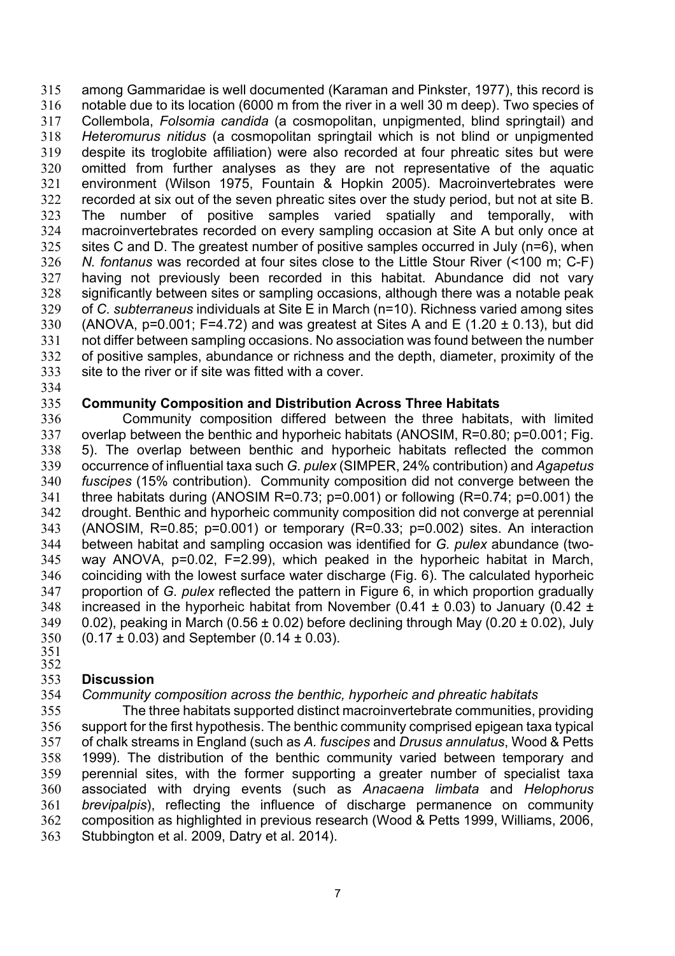among Gammaridae is well documented (Karaman and Pinkster, 1977), this record is notable due to its location (6000 m from the river in a well 30 m deep). Two species of Collembola, *Folsomia candida* (a cosmopolitan, unpigmented, blind springtail) and *Heteromurus nitidus* (a cosmopolitan springtail which is not blind or unpigmented despite its troglobite affiliation) were also recorded at four phreatic sites but were omitted from further analyses as they are not representative of the aquatic environment (Wilson 1975, Fountain & Hopkin 2005). Macroinvertebrates were recorded at six out of the seven phreatic sites over the study period, but not at site B. The number of positive samples varied spatially and temporally, with macroinvertebrates recorded on every sampling occasion at Site A but only once at sites C and D. The greatest number of positive samples occurred in July (n=6), when *N. fontanus* was recorded at four sites close to the Little Stour River (<100 m; C-F) having not previously been recorded in this habitat. Abundance did not vary significantly between sites or sampling occasions, although there was a notable peak of *C. subterraneus* individuals at Site E in March (n=10). Richness varied among sites 330 (ANOVA, p=0.001; F=4.72) and was greatest at Sites A and E (1.20  $\pm$  0.13), but did not differ between sampling occasions. No association was found between the number of positive samples, abundance or richness and the depth, diameter, proximity of the site to the river or if site was fitted with a cover.

### **Community Composition and Distribution Across Three Habitats**

 Community composition differed between the three habitats, with limited 337 overlap between the benthic and hyporheic habitats (ANOSIM, R=0.80; p=0.001; Fig. 5). The overlap between benthic and hyporheic habitats reflected the common occurrence of influential taxa such *G. pulex* (SIMPER, 24% contribution) and *Agapetus fuscipes* (15% contribution). Community composition did not converge between the three habitats during (ANOSIM R=0.73; p=0.001) or following (R=0.74; p=0.001) the drought. Benthic and hyporheic community composition did not converge at perennial (ANOSIM, R=0.85; p=0.001) or temporary (R=0.33; p=0.002) sites. An interaction between habitat and sampling occasion was identified for *G. pulex* abundance (two- way ANOVA, p=0.02, F=2.99), which peaked in the hyporheic habitat in March, coinciding with the lowest surface water discharge (Fig. 6). The calculated hyporheic proportion of *G. pulex* reflected the pattern in Figure 6, in which proportion gradually 348 increased in the hyporheic habitat from November (0.41  $\pm$  0.03) to January (0.42  $\pm$ 349 0.02), peaking in March (0.56  $\pm$  0.02) before declining through May (0.20  $\pm$  0.02), July 350 (0.17  $\pm$  0.03) and September (0.14  $\pm$  0.03).<br>351

### **Discussion**

#### *Community composition across the benthic, hyporheic and phreatic habitats*

 The three habitats supported distinct macroinvertebrate communities, providing support for the first hypothesis. The benthic community comprised epigean taxa typical of chalk streams in England (such as *A. fuscipes* and *Drusus annulatus*, Wood & Petts 1999). The distribution of the benthic community varied between temporary and perennial sites, with the former supporting a greater number of specialist taxa associated with drying events (such as *Anacaena limbata* and *Helophorus brevipalpis*), reflecting the influence of discharge permanence on community composition as highlighted in previous research (Wood & Petts 1999, Williams, 2006, Stubbington et al. 2009, Datry et al. 2014).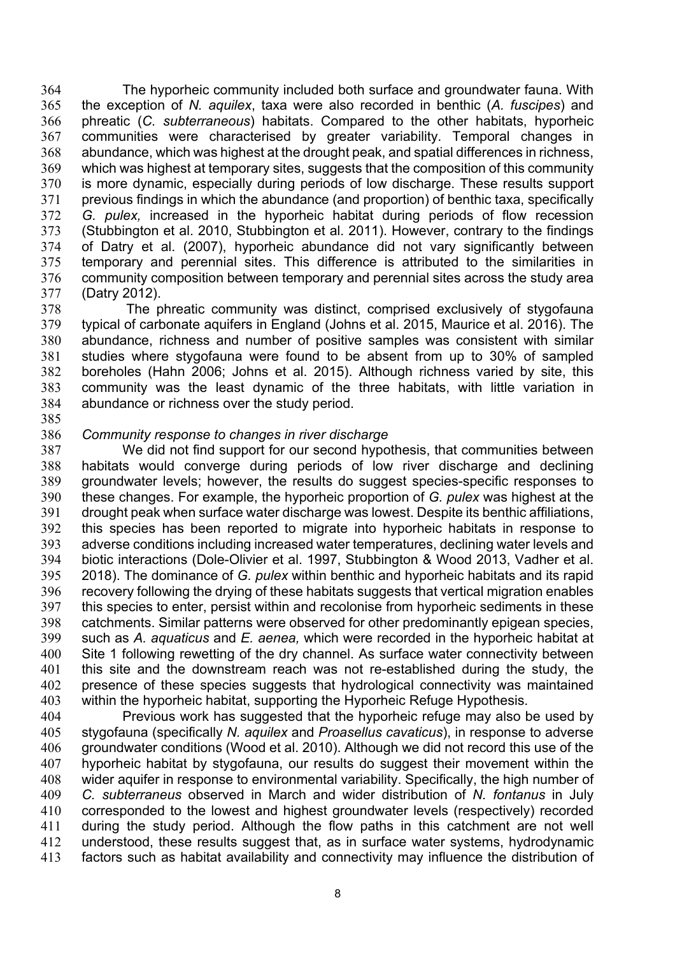The hyporheic community included both surface and groundwater fauna. With the exception of *N. aquilex*, taxa were also recorded in benthic (*A. fuscipes*) and phreatic (*C. subterraneous*) habitats. Compared to the other habitats, hyporheic communities were characterised by greater variability. Temporal changes in abundance, which was highest at the drought peak, and spatial differences in richness, which was highest at temporary sites, suggests that the composition of this community is more dynamic, especially during periods of low discharge. These results support previous findings in which the abundance (and proportion) of benthic taxa, specifically *G. pulex,* increased in the hyporheic habitat during periods of flow recession (Stubbington et al. 2010, Stubbington et al. 2011). However, contrary to the findings of Datry et al. (2007), hyporheic abundance did not vary significantly between temporary and perennial sites. This difference is attributed to the similarities in community composition between temporary and perennial sites across the study area (Datry 2012).

 The phreatic community was distinct, comprised exclusively of stygofauna typical of carbonate aquifers in England (Johns et al. 2015, Maurice et al. 2016). The abundance, richness and number of positive samples was consistent with similar studies where stygofauna were found to be absent from up to 30% of sampled boreholes (Hahn 2006; Johns et al. 2015). Although richness varied by site, this community was the least dynamic of the three habitats, with little variation in abundance or richness over the study period.

#### *Community response to changes in river discharge*

 We did not find support for our second hypothesis, that communities between habitats would converge during periods of low river discharge and declining groundwater levels; however, the results do suggest species-specific responses to these changes. For example, the hyporheic proportion of *G. pulex* was highest at the drought peak when surface water discharge was lowest. Despite its benthic affiliations, this species has been reported to migrate into hyporheic habitats in response to adverse conditions including increased water temperatures, declining water levels and biotic interactions (Dole-Olivier et al. 1997, Stubbington & Wood 2013, Vadher et al. 2018). The dominance of *G. pulex* within benthic and hyporheic habitats and its rapid recovery following the drying of these habitats suggests that vertical migration enables this species to enter, persist within and recolonise from hyporheic sediments in these catchments. Similar patterns were observed for other predominantly epigean species, such as *A. aquaticus* and *E. aenea,* which were recorded in the hyporheic habitat at Site 1 following rewetting of the dry channel. As surface water connectivity between this site and the downstream reach was not re-established during the study, the presence of these species suggests that hydrological connectivity was maintained within the hyporheic habitat, supporting the Hyporheic Refuge Hypothesis.

 Previous work has suggested that the hyporheic refuge may also be used by stygofauna (specifically *N. aquilex* and *Proasellus cavaticus*), in response to adverse groundwater conditions (Wood et al. 2010). Although we did not record this use of the hyporheic habitat by stygofauna, our results do suggest their movement within the wider aquifer in response to environmental variability. Specifically, the high number of *C. subterraneus* observed in March and wider distribution of *N. fontanus* in July corresponded to the lowest and highest groundwater levels (respectively) recorded during the study period. Although the flow paths in this catchment are not well understood, these results suggest that, as in surface water systems, hydrodynamic factors such as habitat availability and connectivity may influence the distribution of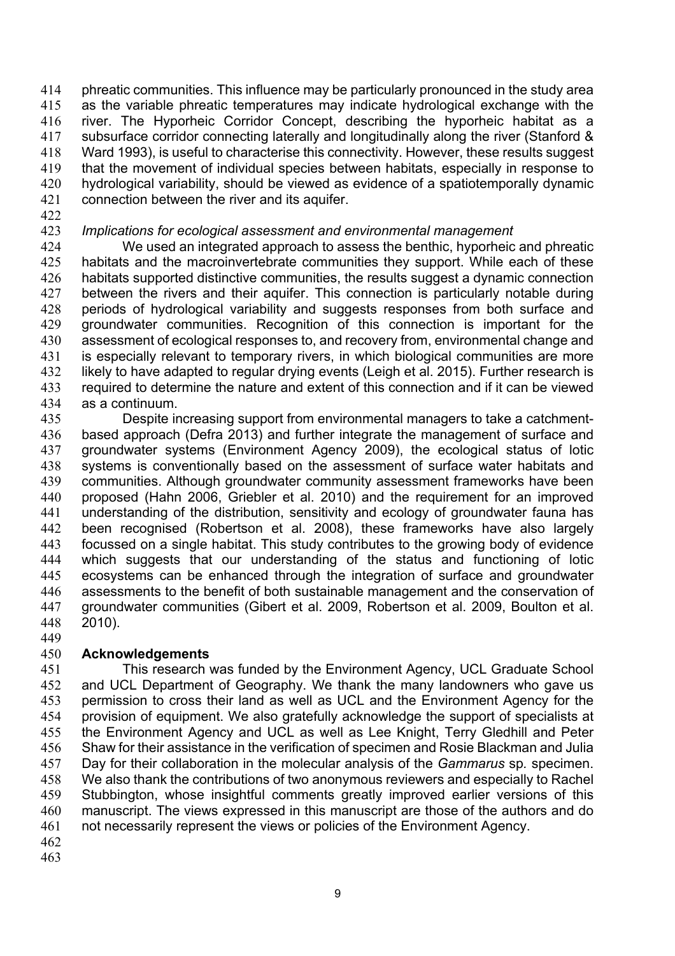phreatic communities. This influence may be particularly pronounced in the study area as the variable phreatic temperatures may indicate hydrological exchange with the river. The Hyporheic Corridor Concept, describing the hyporheic habitat as a subsurface corridor connecting laterally and longitudinally along the river (Stanford & Ward 1993), is useful to characterise this connectivity. However, these results suggest that the movement of individual species between habitats, especially in response to hydrological variability, should be viewed as evidence of a spatiotemporally dynamic connection between the river and its aquifer.

### *Implications for ecological assessment and environmental management*

 We used an integrated approach to assess the benthic, hyporheic and phreatic habitats and the macroinvertebrate communities they support. While each of these habitats supported distinctive communities, the results suggest a dynamic connection 427 between the rivers and their aquifer. This connection is particularly notable during periods of hydrological variability and suggests responses from both surface and groundwater communities. Recognition of this connection is important for the assessment of ecological responses to, and recovery from, environmental change and is especially relevant to temporary rivers, in which biological communities are more likely to have adapted to regular drying events (Leigh et al. 2015). Further research is required to determine the nature and extent of this connection and if it can be viewed as a continuum.

 Despite increasing support from environmental managers to take a catchment- based approach (Defra 2013) and further integrate the management of surface and groundwater systems (Environment Agency 2009), the ecological status of lotic systems is conventionally based on the assessment of surface water habitats and communities. Although groundwater community assessment frameworks have been proposed (Hahn 2006, Griebler et al. 2010) and the requirement for an improved understanding of the distribution, sensitivity and ecology of groundwater fauna has been recognised (Robertson et al. 2008), these frameworks have also largely focussed on a single habitat. This study contributes to the growing body of evidence which suggests that our understanding of the status and functioning of lotic ecosystems can be enhanced through the integration of surface and groundwater assessments to the benefit of both sustainable management and the conservation of groundwater communities (Gibert et al. 2009, Robertson et al. 2009, Boulton et al. 2010).

#### **Acknowledgements**

 This research was funded by the Environment Agency, UCL Graduate School and UCL Department of Geography. We thank the many landowners who gave us permission to cross their land as well as UCL and the Environment Agency for the provision of equipment. We also gratefully acknowledge the support of specialists at the Environment Agency and UCL as well as Lee Knight, Terry Gledhill and Peter Shaw for their assistance in the verification of specimen and Rosie Blackman and Julia Day for their collaboration in the molecular analysis of the *Gammarus* sp*.* specimen. We also thank the contributions of two anonymous reviewers and especially to Rachel Stubbington, whose insightful comments greatly improved earlier versions of this manuscript. The views expressed in this manuscript are those of the authors and do not necessarily represent the views or policies of the Environment Agency.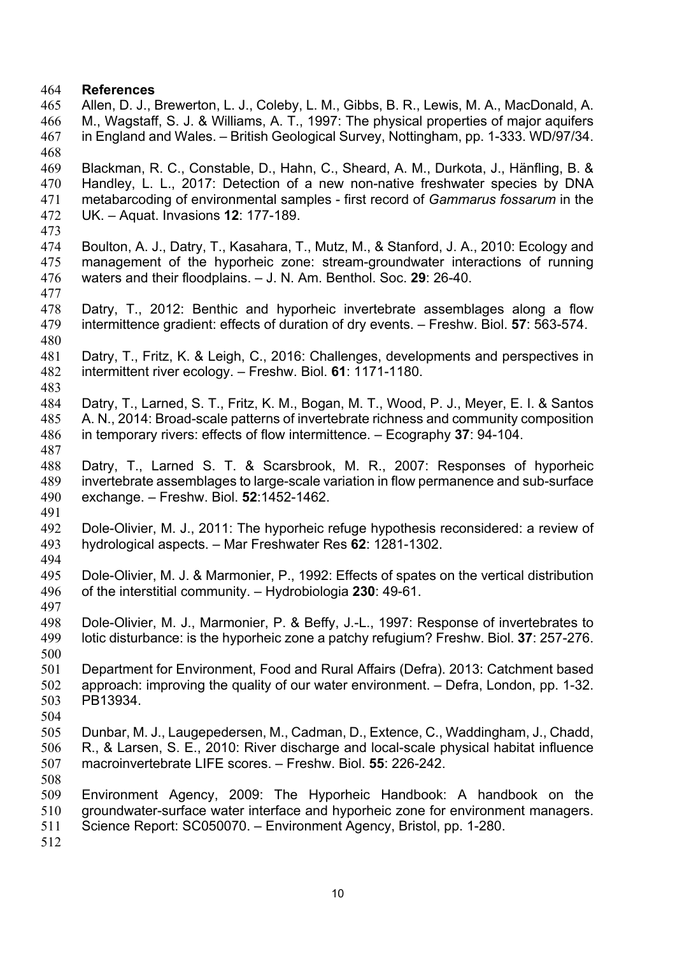#### **References**

- Allen, D. J., Brewerton, L. J., Coleby, L. M., Gibbs, B. R., Lewis, M. A., MacDonald, A. M., Wagstaff, S. J. & Williams, A. T., 1997: The physical properties of major aquifers in England and Wales. – British Geological Survey, Nottingham, pp. 1-333. WD/97/34.
- Blackman, R. C., Constable, D., Hahn, C., Sheard, A. M., Durkota, J., Hänfling, B. & Handley, L. L., 2017: Detection of a new non-native freshwater species by DNA metabarcoding of environmental samples - first record of *Gammarus fossarum* in the UK. – Aquat. Invasions **12**: 177-189.
- 
- Boulton, A. J., Datry, T., Kasahara, T., Mutz, M., & Stanford, J. A., 2010: Ecology and management of the hyporheic zone: stream-groundwater interactions of running waters and their floodplains. – J. N. Am. Benthol. Soc. **29**: 26-40.
- Datry, T., 2012: Benthic and hyporheic invertebrate assemblages along a flow intermittence gradient: effects of duration of dry events. – Freshw. Biol. **57**: 563-574.
- Datry, T., Fritz, K. & Leigh, C., 2016: Challenges, developments and perspectives in intermittent river ecology. – Freshw. Biol. **61**: 1171-1180.
- Datry, T., Larned, S. T., Fritz, K. M., Bogan, M. T., Wood, P. J., Meyer, E. I. & Santos A. N., 2014: Broad-scale patterns of invertebrate richness and community composition in temporary rivers: effects of flow intermittence. – Ecography **37**: 94-104.
- 
- Datry, T., Larned S. T. & Scarsbrook, M. R., 2007: Responses of hyporheic invertebrate assemblages to large-scale variation in flow permanence and sub-surface exchange. – Freshw. Biol. **52**:1452-1462.
- Dole-Olivier, M. J., 2011: The hyporheic refuge hypothesis reconsidered: a review of hydrological aspects. – Mar Freshwater Res **62**: 1281-1302.
- 
- Dole-Olivier, M. J. & Marmonier, P., 1992: Effects of spates on the vertical distribution of the interstitial community. – Hydrobiologia **230**: 49-61.
- 
- Dole-Olivier, M. J., Marmonier, P. & Beffy, J.-L., 1997: Response of invertebrates to lotic disturbance: is the hyporheic zone a patchy refugium? Freshw. Biol. **37**: 257-276.
- Department for Environment, Food and Rural Affairs (Defra). 2013: Catchment based approach: improving the quality of our water environment. – Defra, London, pp. 1-32. PB13934.
- 
- Dunbar, M. J., Laugepedersen, M., Cadman, D., Extence, C., Waddingham, J., Chadd, R., & Larsen, S. E., 2010: River discharge and local-scale physical habitat influence macroinvertebrate LIFE scores. – Freshw. Biol. **55**: 226-242.
- 
- Environment Agency, 2009: The Hyporheic Handbook: A handbook on the groundwater-surface water interface and hyporheic zone for environment managers.
- Science Report: SC050070. Environment Agency, Bristol, pp. 1-280.
-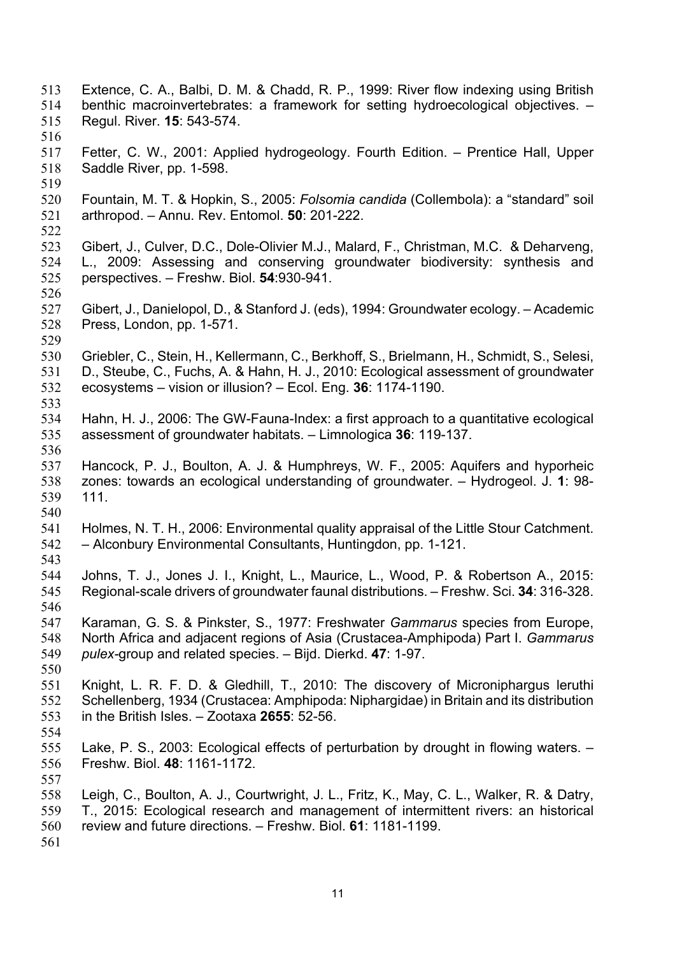- Extence, C. A., Balbi, D. M. & Chadd, R. P., 1999: River flow indexing using British benthic macroinvertebrates: a framework for setting hydroecological objectives. – Regul. River. **15**: 543-574. Fetter, C. W., 2001: Applied hydrogeology. Fourth Edition. – Prentice Hall, Upper Saddle River, pp. 1-598. Fountain, M. T. & Hopkin, S., 2005: *Folsomia candida* (Collembola): a "standard" soil arthropod. – Annu. Rev. Entomol. **50**: 201-222. Gibert, J., Culver, D.C., Dole-Olivier M.J., Malard, F., Christman, M.C. & Deharveng, L., 2009: Assessing and conserving groundwater biodiversity: synthesis and perspectives. – Freshw. Biol. **54**:930-941. Gibert, J., Danielopol, D., & Stanford J. (eds), 1994: Groundwater ecology. – Academic Press, London, pp. 1-571. Griebler, C., Stein, H., Kellermann, C., Berkhoff, S., Brielmann, H., Schmidt, S., Selesi, D., Steube, C., Fuchs, A. & Hahn, H. J., 2010: Ecological assessment of groundwater ecosystems – vision or illusion? – Ecol. Eng. **36**: 1174-1190. Hahn, H. J., 2006: The GW-Fauna-Index: a first approach to a quantitative ecological assessment of groundwater habitats. – Limnologica **36**: 119-137. Hancock, P. J., Boulton, A. J. & Humphreys, W. F., 2005: Aquifers and hyporheic zones: towards an ecological understanding of groundwater. – Hydrogeol. J. **1**: 98- 111. Holmes, N. T. H., 2006: Environmental quality appraisal of the Little Stour Catchment. – Alconbury Environmental Consultants, Huntingdon, pp. 1-121. Johns, T. J., Jones J. I., Knight, L., Maurice, L., Wood, P. & Robertson A., 2015: Regional-scale drivers of groundwater faunal distributions. – Freshw. Sci. **34**: 316-328. Karaman, G. S. & Pinkster, S., 1977: Freshwater *Gammarus* species from Europe, North Africa and adjacent regions of Asia (Crustacea-Amphipoda) Part I. *Gammarus pulex-*group and related species. – Bijd. Dierkd. **47**: 1-97. Knight, L. R. F. D. & Gledhill, T., 2010: The discovery of Microniphargus leruthi Schellenberg, 1934 (Crustacea: Amphipoda: Niphargidae) in Britain and its distribution in the British Isles. – Zootaxa **2655**: 52-56. Lake, P. S., 2003: Ecological effects of perturbation by drought in flowing waters. – Freshw. Biol. **48**: 1161-1172. Leigh, C., Boulton, A. J., Courtwright, J. L., Fritz, K., May, C. L., Walker, R. & Datry, T., 2015: Ecological research and management of intermittent rivers: an historical review and future directions. – Freshw. Biol. **61**: 1181-1199.
-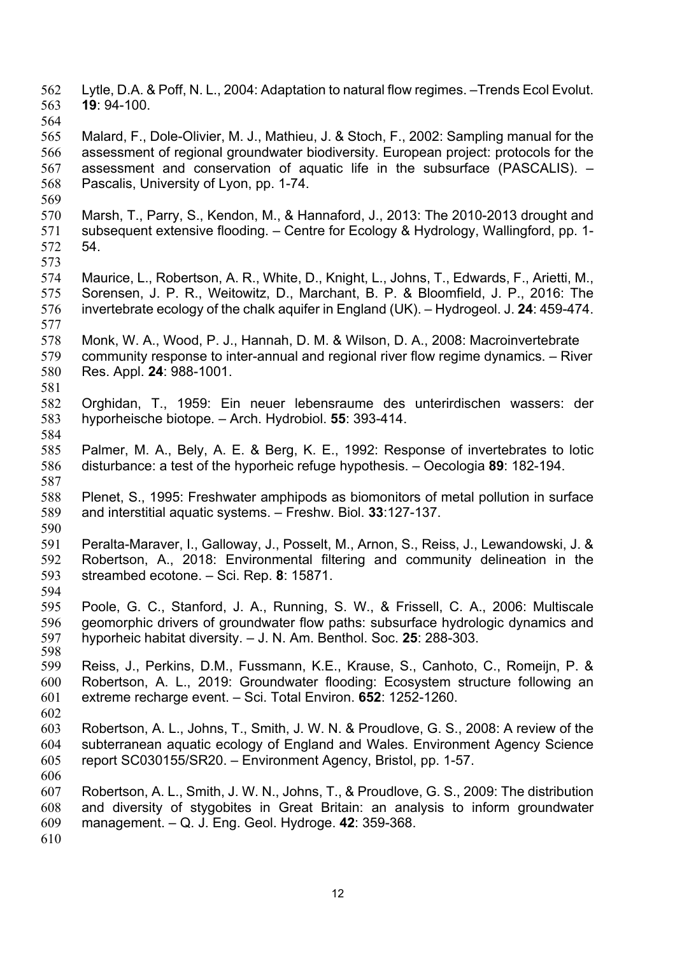- Lytle, D.A. & Poff, N. L., 2004: Adaptation to natural flow regimes. –Trends Ecol Evolut. **19**: 94-100.
- 
- Malard, F., Dole-Olivier, M. J., Mathieu, J. & Stoch, F., 2002: Sampling manual for the assessment of regional groundwater biodiversity. European project: protocols for the assessment and conservation of aquatic life in the subsurface (PASCALIS). – Pascalis, University of Lyon, pp. 1-74.
- Marsh, T., Parry, S., Kendon, M., & Hannaford, J., 2013: The 2010-2013 drought and subsequent extensive flooding. – Centre for Ecology & Hydrology, Wallingford, pp. 1- 54.
- Maurice, L., Robertson, A. R., White, D., Knight, L., Johns, T., Edwards, F., Arietti, M., Sorensen, J. P. R., Weitowitz, D., Marchant, B. P. & Bloomfield, J. P., 2016: The invertebrate ecology of the chalk aquifer in England (UK). – Hydrogeol. J. **24**: 459-474.
- Monk, W. A., Wood, P. J., Hannah, D. M. & Wilson, D. A., 2008: Macroinvertebrate community response to inter-annual and regional river flow regime dynamics. – River Res. Appl. **24**: 988-1001.
- Orghidan, T., 1959: Ein neuer lebensraume des unterirdischen wassers: der hyporheische biotope*.* – Arch. Hydrobiol. **55**: 393-414.
- Palmer, M. A., Bely, A. E. & Berg, K. E., 1992: Response of invertebrates to lotic disturbance: a test of the hyporheic refuge hypothesis. – Oecologia **89**: 182-194.
- Plenet, S., 1995: Freshwater amphipods as biomonitors of metal pollution in surface and interstitial aquatic systems. – Freshw. Biol. **33**:127-137.
- Peralta-Maraver, I., Galloway, J., Posselt, M., Arnon, S., Reiss, J., Lewandowski, J. & Robertson, A., 2018: Environmental filtering and community delineation in the streambed ecotone. – Sci. Rep. **8**: 15871.
- Poole, G. C., Stanford, J. A., Running, S. W., & Frissell, C. A., 2006: Multiscale geomorphic drivers of groundwater flow paths: subsurface hydrologic dynamics and hyporheic habitat diversity. – J. N. Am. Benthol. Soc. **25**: 288-303.
- Reiss, J., Perkins, D.M., Fussmann, K.E., Krause, S., Canhoto, C., Romeijn, P. & Robertson, A. L., 2019: Groundwater flooding: Ecosystem structure following an extreme recharge event. – Sci. Total Environ. **652**: 1252-1260.
- Robertson, A. L., Johns, T., Smith, J. W. N. & Proudlove, G. S., 2008: A review of the subterranean aquatic ecology of England and Wales. Environment Agency Science report SC030155/SR20. – Environment Agency, Bristol, pp. 1-57.
- Robertson, A. L., Smith, J. W. N., Johns, T., & Proudlove, G. S., 2009: The distribution and diversity of stygobites in Great Britain: an analysis to inform groundwater management. – Q. J. Eng. Geol. Hydroge. **42**: 359-368.
-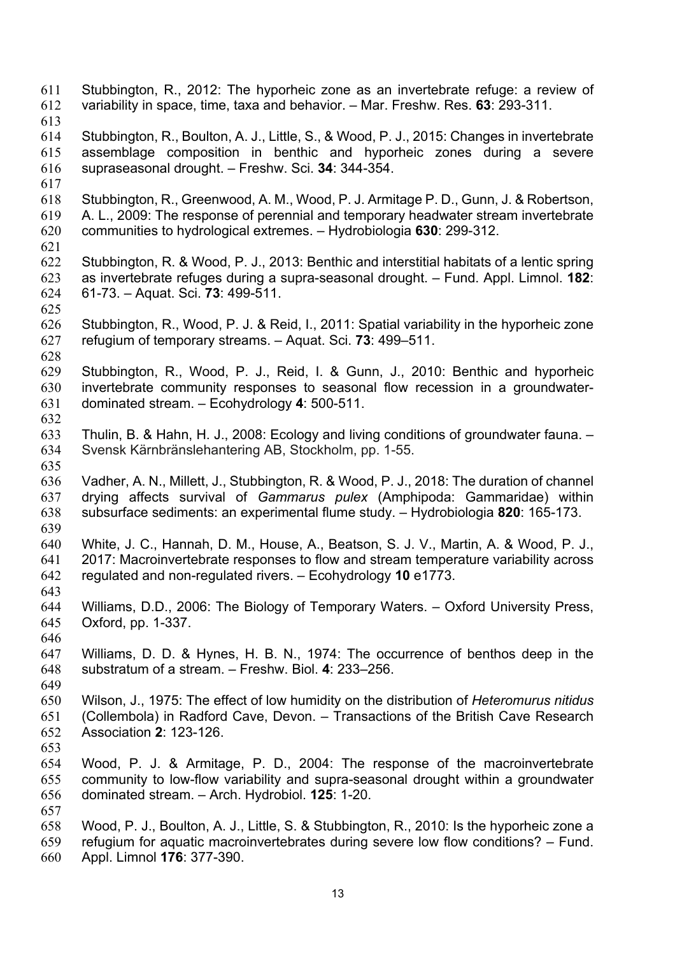Stubbington, R., 2012: The hyporheic zone as an invertebrate refuge: a review of variability in space, time, taxa and behavior. – Mar. Freshw. Res. **63**: 293-311. Stubbington, R., Boulton, A. J., Little, S., & Wood, P. J., 2015: Changes in invertebrate assemblage composition in benthic and hyporheic zones during a severe supraseasonal drought. – Freshw. Sci. **34**: 344-354. Stubbington, R., Greenwood, A. M., Wood, P. J. Armitage P. D., Gunn, J. & Robertson, A. L., 2009: The response of perennial and temporary headwater stream invertebrate communities to hydrological extremes. – Hydrobiologia **630**: 299-312. Stubbington, R. & Wood, P. J., 2013: Benthic and interstitial habitats of a lentic spring as invertebrate refuges during a supra-seasonal drought. – Fund. Appl. Limnol. **182**: 61-73. – Aquat. Sci. **73**: 499-511. Stubbington, R., Wood, P. J. & Reid, I., 2011: Spatial variability in the hyporheic zone refugium of temporary streams. – Aquat. Sci. **73**: 499–511. Stubbington, R., Wood, P. J., Reid, I. & Gunn, J., 2010: Benthic and hyporheic invertebrate community responses to seasonal flow recession in a groundwater- dominated stream. – Ecohydrology **4**: 500-511. Thulin, B. & Hahn, H. J., 2008: Ecology and living conditions of groundwater fauna. – Svensk Kärnbränslehantering AB, Stockholm, pp. 1-55. Vadher, A. N., Millett, J., Stubbington, R. & Wood, P. J., 2018: The duration of channel drying affects survival of *Gammarus pulex* (Amphipoda: Gammaridae) within subsurface sediments: an experimental flume study. – Hydrobiologia **820**: 165-173. White, J. C., Hannah, D. M., House, A., Beatson, S. J. V., Martin, A. & Wood, P. J., 2017: Macroinvertebrate responses to flow and stream temperature variability across regulated and non-regulated rivers. – Ecohydrology **10** e1773. Williams, D.D., 2006: The Biology of Temporary Waters. – Oxford University Press, Oxford, pp. 1-337. Williams, D. D. & Hynes, H. B. N., 1974: The occurrence of benthos deep in the substratum of a stream. – Freshw. Biol. **4**: 233–256. Wilson, J., 1975: The effect of low humidity on the distribution of *Heteromurus nitidus*  (Collembola) in Radford Cave, Devon. – Transactions of the British Cave Research Association **2**: 123-126. Wood, P. J. & Armitage, P. D., 2004: The response of the macroinvertebrate community to low-flow variability and supra-seasonal drought within a groundwater dominated stream. – Arch. Hydrobiol. **125**: 1-20. Wood, P. J., Boulton, A. J., Little, S. & Stubbington, R., 2010: Is the hyporheic zone a refugium for aquatic macroinvertebrates during severe low flow conditions? – Fund. Appl. Limnol **176**: 377-390.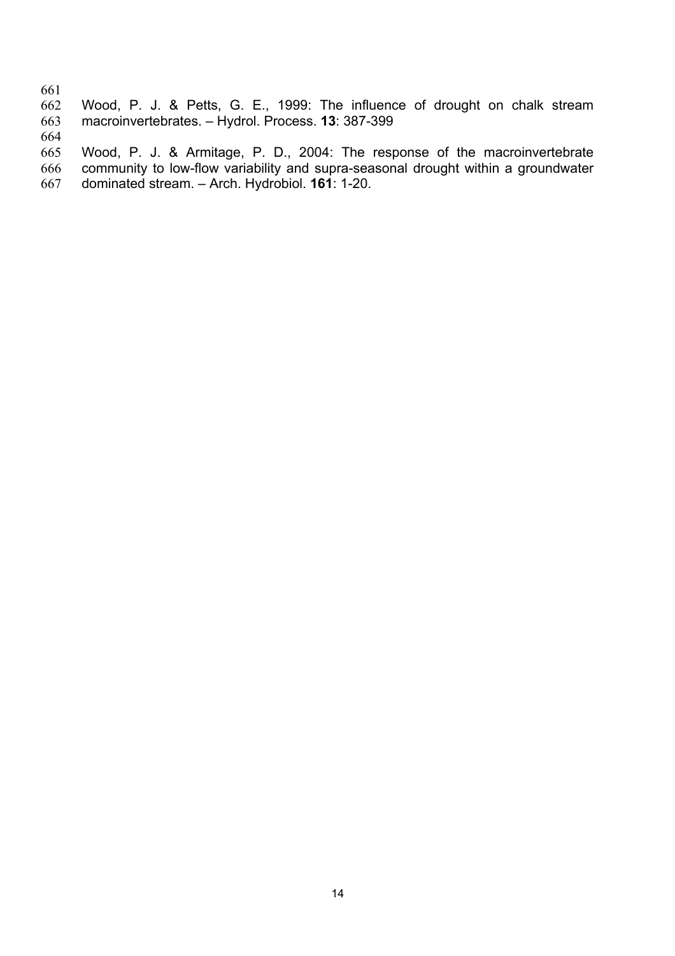661<br>662 Wood, P. J. & Petts, G. E., 1999: The influence of drought on chalk stream macroinvertebrates. – Hydrol. Process. **13**: 387-399

 Wood, P. J. & Armitage, P. D., 2004: The response of the macroinvertebrate community to low-flow variability and supra-seasonal drought within a groundwater dominated stream. – Arch. Hydrobiol. **161**: 1-20.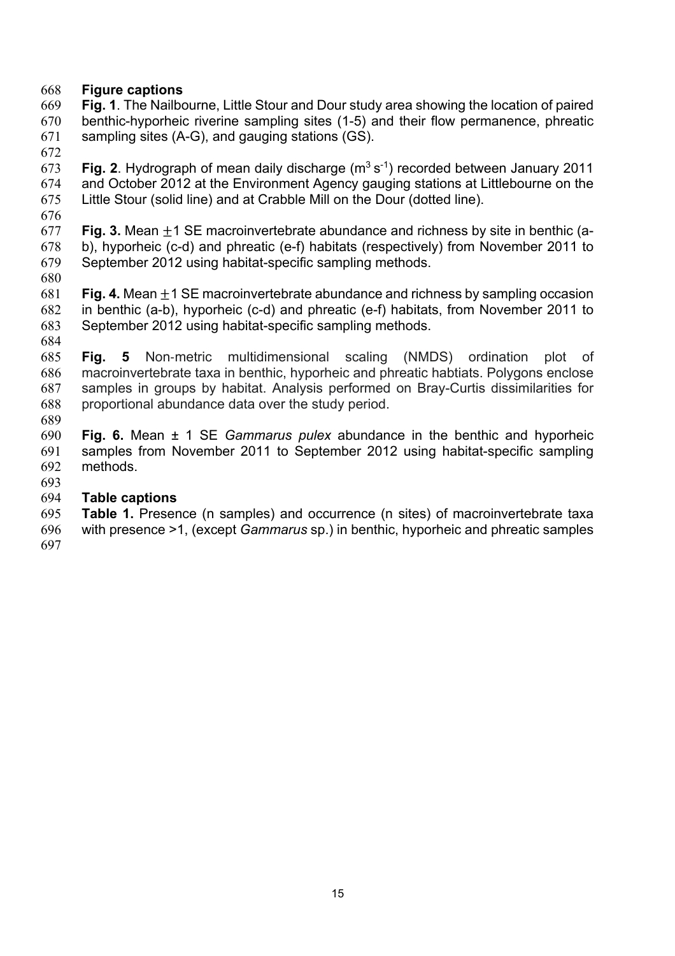## **Figure captions**

 **Fig. 1**. The Nailbourne, Little Stour and Dour study area showing the location of paired benthic-hyporheic riverine sampling sites (1-5) and their flow permanence, phreatic sampling sites (A-G), and gauging stations (GS).

**Fig. 2.** Hydrograph of mean daily discharge  $(m^3 s^{-1})$  recorded between January 2011 and October 2012 at the Environment Agency gauging stations at Littlebourne on the Little Stour (solid line) and at Crabble Mill on the Dour (dotted line).

 **Fig. 3.** Mean ±1 SE macroinvertebrate abundance and richness by site in benthic (a- b), hyporheic (c-d) and phreatic (e-f) habitats (respectively) from November 2011 to September 2012 using habitat-specific sampling methods.

 **Fig. 4.** Mean ±1 SE macroinvertebrate abundance and richness by sampling occasion in benthic (a-b), hyporheic (c-d) and phreatic (e-f) habitats, from November 2011 to September 2012 using habitat-specific sampling methods.

 **Fig. 5** Non-metric multidimensional scaling (NMDS) ordination plot of macroinvertebrate taxa in benthic, hyporheic and phreatic habtiats. Polygons enclose samples in groups by habitat. Analysis performed on Bray-Curtis dissimilarities for proportional abundance data over the study period. 

 **Fig. 6.** Mean ± 1 SE *Gammarus pulex* abundance in the benthic and hyporheic samples from November 2011 to September 2012 using habitat-specific sampling methods.

## **Table captions**

 **Table 1.** Presence (n samples) and occurrence (n sites) of macroinvertebrate taxa with presence >1, (except *Gammarus* sp.) in benthic, hyporheic and phreatic samples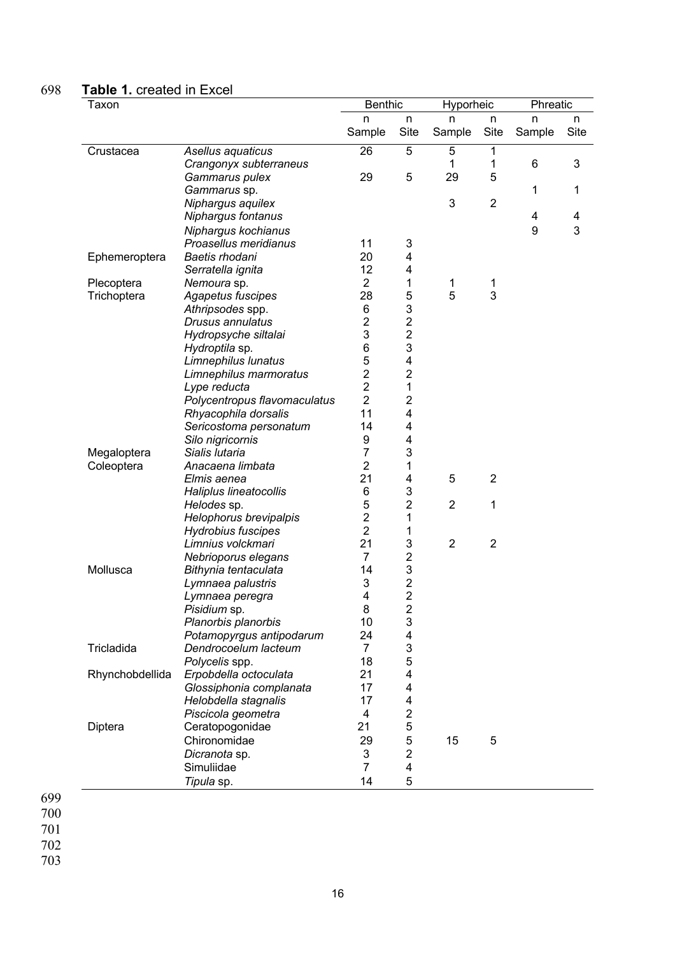## 698 **Table 1.** created in Excel

| Taxon           |                              | <b>Benthic</b>   |                         | Hyporheic      |                | Phreatic |      |
|-----------------|------------------------------|------------------|-------------------------|----------------|----------------|----------|------|
|                 |                              | n                | n                       | n              | n              | n        | n    |
|                 |                              | Sample           | Site                    | Sample         | Site           | Sample   | Site |
| Crustacea       | Asellus aquaticus            | 26               | 5                       | 5              | 1              |          |      |
|                 | Crangonyx subterraneus       |                  |                         | 1              | 1              | 6        | 3    |
|                 | Gammarus pulex               | 29               | 5                       | 29             | 5              |          |      |
|                 | Gammarus sp.                 |                  |                         |                |                | 1        | 1    |
|                 | Niphargus aquilex            |                  |                         | $\sqrt{3}$     | $\overline{2}$ |          |      |
|                 | Niphargus fontanus           |                  |                         |                |                | 4        | 4    |
|                 | Niphargus kochianus          |                  |                         |                |                | 9        | 3    |
|                 | Proasellus meridianus        | 11               | 3                       |                |                |          |      |
| Ephemeroptera   | Baetis rhodani               | 20               | 4                       |                |                |          |      |
|                 | Serratella ignita            | 12               | 4                       |                |                |          |      |
| Plecoptera      | Nemoura sp.                  | $\overline{2}$   | 1                       | 1              | 1              |          |      |
| Trichoptera     | Agapetus fuscipes            | 28               | 5                       | 5              | 3              |          |      |
|                 | Athripsodes spp.             | 6                | 3                       |                |                |          |      |
|                 | Drusus annulatus             | $\boldsymbol{2}$ | $\overline{\mathbf{c}}$ |                |                |          |      |
|                 | Hydropsyche siltalai         | 3                | $\overline{c}$          |                |                |          |      |
|                 | Hydroptila sp.               | 6                | 3                       |                |                |          |      |
|                 | Limnephilus lunatus          | 5                | 4                       |                |                |          |      |
|                 | Limnephilus marmoratus       | $\overline{c}$   | $\overline{c}$          |                |                |          |      |
|                 | Lype reducta                 | $\overline{2}$   | 1                       |                |                |          |      |
|                 | Polycentropus flavomaculatus | $\overline{2}$   | $\overline{2}$          |                |                |          |      |
|                 | Rhyacophila dorsalis         | 11               | 4                       |                |                |          |      |
|                 | Sericostoma personatum       | 14               | 4                       |                |                |          |      |
|                 | Silo nigricornis             | 9                | 4                       |                |                |          |      |
| Megaloptera     | Sialis lutaria               | 7                | 3                       |                |                |          |      |
| Coleoptera      | Anacaena limbata             | $\overline{2}$   | 1                       |                |                |          |      |
|                 | Elmis aenea                  | 21               | 4                       | 5              | $\overline{2}$ |          |      |
|                 | Haliplus lineatocollis       | 6                | 3                       |                |                |          |      |
|                 | Helodes sp.                  | 5                | $\overline{c}$          | $\overline{2}$ | 1              |          |      |
|                 | Helophorus brevipalpis       | $\overline{c}$   | 1                       |                |                |          |      |
|                 | <b>Hydrobius fuscipes</b>    | $\overline{2}$   | 1                       |                |                |          |      |
|                 | Limnius volckmari            | 21               | 3                       | $\overline{2}$ | $\overline{2}$ |          |      |
|                 | Nebrioporus elegans          | $\overline{7}$   | $\overline{\mathbf{c}}$ |                |                |          |      |
| Mollusca        | Bithynia tentaculata         | 14               | 3                       |                |                |          |      |
|                 | Lymnaea palustris            | 3                | $\frac{2}{2}$           |                |                |          |      |
|                 | Lymnaea peregra              | 4                |                         |                |                |          |      |
|                 | Pisidium sp.                 | 8                | 2                       |                |                |          |      |
|                 | Planorbis planorbis          | 10               | 3                       |                |                |          |      |
|                 | Potamopyrgus antipodarum     | 24               | 4                       |                |                |          |      |
| Tricladida      | Dendrocoelum lacteum         | 7                | 3                       |                |                |          |      |
|                 | Polycelis spp.               | 18               | 5                       |                |                |          |      |
| Rhynchobdellida | Erpobdella octoculata        | 21               | 4                       |                |                |          |      |
|                 | Glossiphonia complanata      | 17               | 4                       |                |                |          |      |
|                 | Helobdella stagnalis         | 17               | 4                       |                |                |          |      |
|                 | Piscicola geometra           | 4                | $\overline{2}$          |                |                |          |      |
| Diptera         | Ceratopogonidae              | 21               | 5                       |                |                |          |      |
|                 | Chironomidae                 | 29               | 5                       | 15             | 5              |          |      |
|                 | Dicranota sp.                | 3                | $\overline{2}$          |                |                |          |      |
|                 | Simuliidae                   | $\overline{7}$   | 4                       |                |                |          |      |
|                 | Tipula sp.                   | 14               | 5                       |                |                |          |      |
|                 |                              |                  |                         |                |                |          |      |

699 700

701

702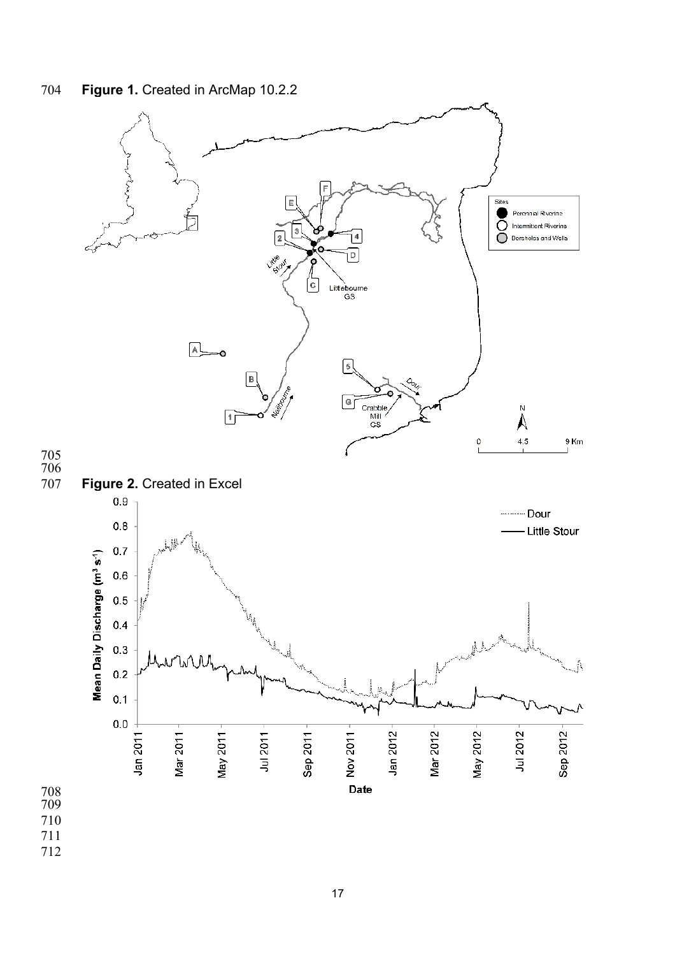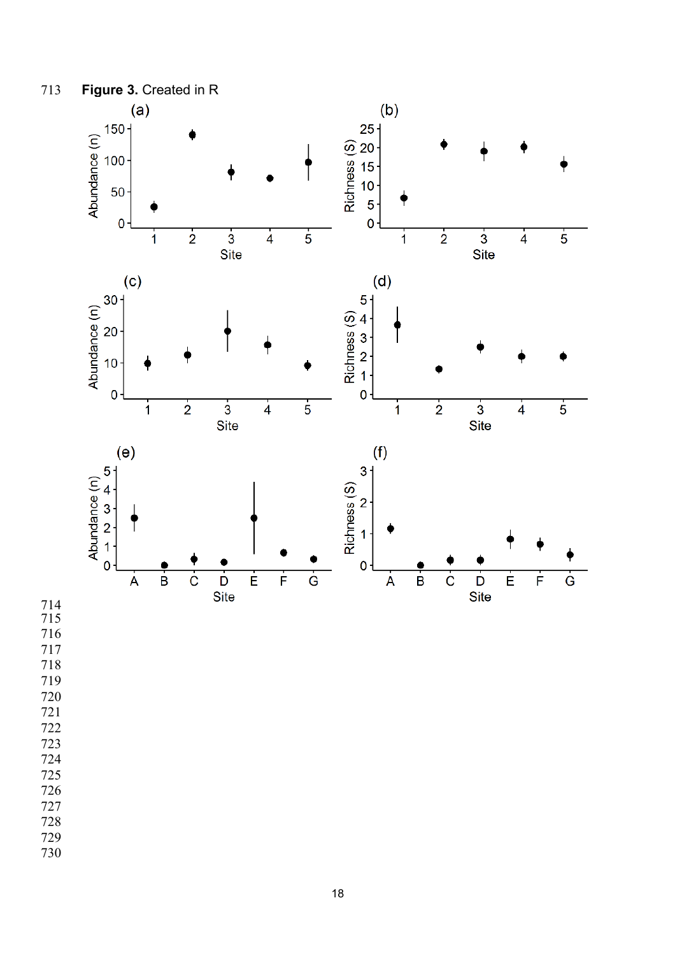

- 
- 
-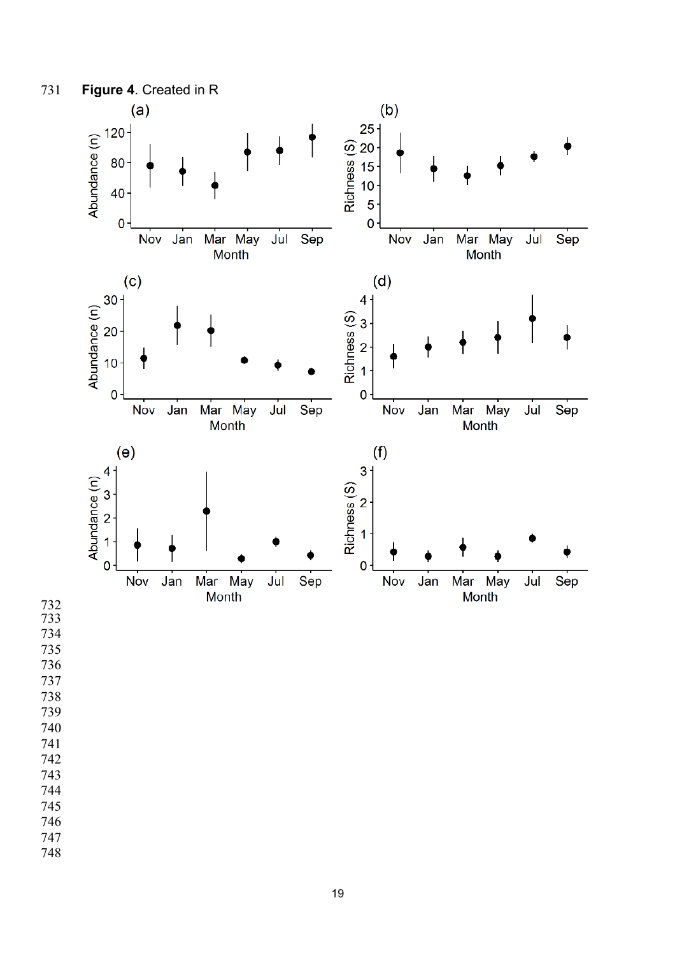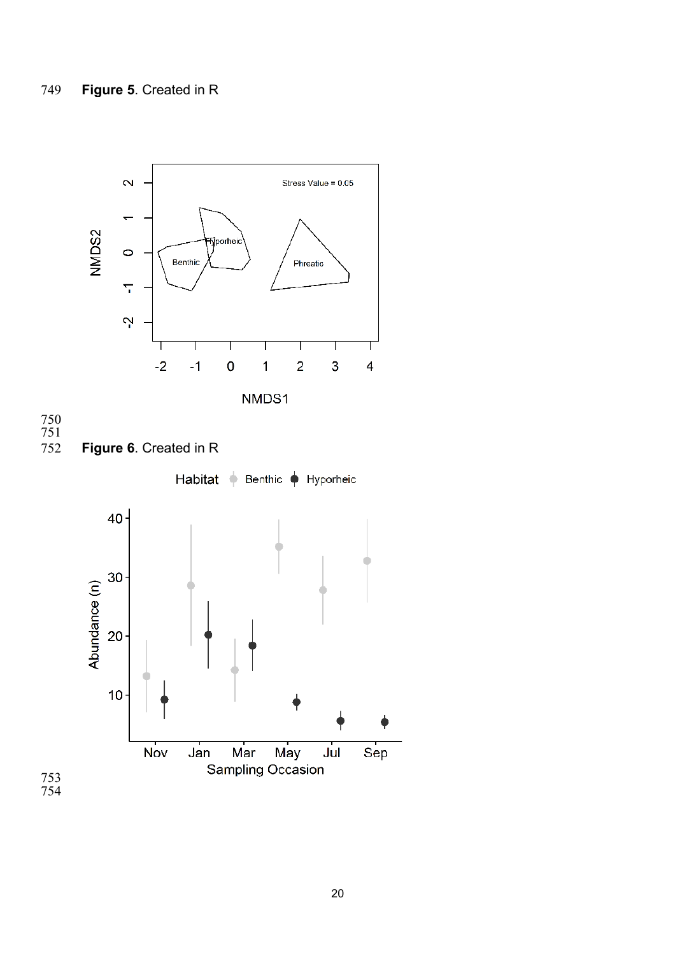